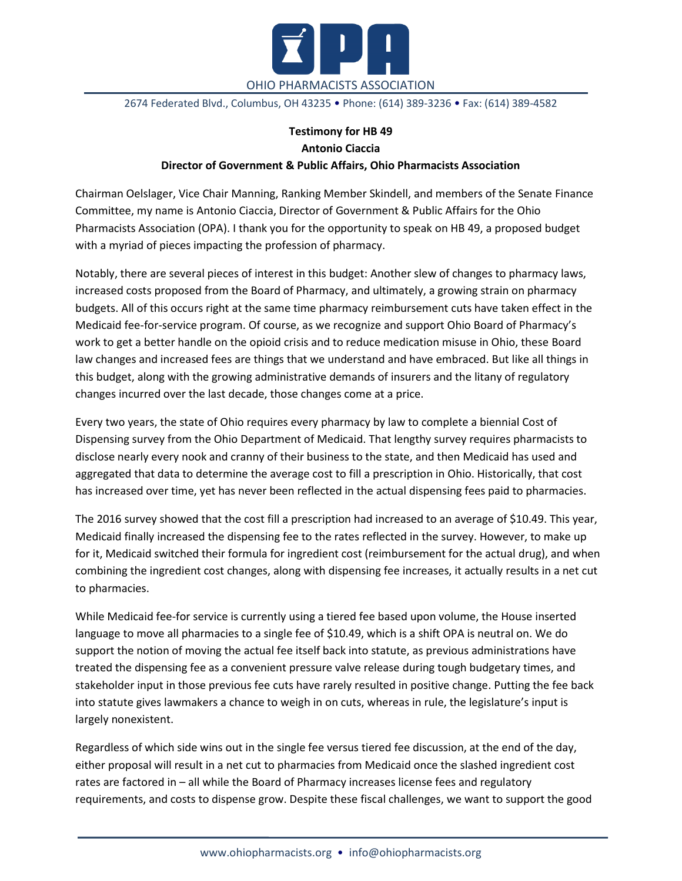

2674 Federated Blvd., Columbus, OH 43235 • Phone: (614) 389-3236 • Fax: (614) 389-4582

## **Testimony for HB 49 Antonio Ciaccia Director of Government & Public Affairs, Ohio Pharmacists Association**

Chairman Oelslager, Vice Chair Manning, Ranking Member Skindell, and members of the Senate Finance Committee, my name is Antonio Ciaccia, Director of Government & Public Affairs for the Ohio Pharmacists Association (OPA). I thank you for the opportunity to speak on HB 49, a proposed budget with a myriad of pieces impacting the profession of pharmacy.

Notably, there are several pieces of interest in this budget: Another slew of changes to pharmacy laws, increased costs proposed from the Board of Pharmacy, and ultimately, a growing strain on pharmacy budgets. All of this occurs right at the same time pharmacy reimbursement cuts have taken effect in the Medicaid fee-for-service program. Of course, as we recognize and support Ohio Board of Pharmacy's work to get a better handle on the opioid crisis and to reduce medication misuse in Ohio, these Board law changes and increased fees are things that we understand and have embraced. But like all things in this budget, along with the growing administrative demands of insurers and the litany of regulatory changes incurred over the last decade, those changes come at a price.

Every two years, the state of Ohio requires every pharmacy by law to complete a biennial Cost of Dispensing survey from the Ohio Department of Medicaid. That lengthy survey requires pharmacists to disclose nearly every nook and cranny of their business to the state, and then Medicaid has used and aggregated that data to determine the average cost to fill a prescription in Ohio. Historically, that cost has increased over time, yet has never been reflected in the actual dispensing fees paid to pharmacies.

The 2016 survey showed that the cost fill a prescription had increased to an average of \$10.49. This year, Medicaid finally increased the dispensing fee to the rates reflected in the survey. However, to make up for it, Medicaid switched their formula for ingredient cost (reimbursement for the actual drug), and when combining the ingredient cost changes, along with dispensing fee increases, it actually results in a net cut to pharmacies.

While Medicaid fee-for service is currently using a tiered fee based upon volume, the House inserted language to move all pharmacies to a single fee of \$10.49, which is a shift OPA is neutral on. We do support the notion of moving the actual fee itself back into statute, as previous administrations have treated the dispensing fee as a convenient pressure valve release during tough budgetary times, and stakeholder input in those previous fee cuts have rarely resulted in positive change. Putting the fee back into statute gives lawmakers a chance to weigh in on cuts, whereas in rule, the legislature's input is largely nonexistent.

Regardless of which side wins out in the single fee versus tiered fee discussion, at the end of the day, either proposal will result in a net cut to pharmacies from Medicaid once the slashed ingredient cost rates are factored in – all while the Board of Pharmacy increases license fees and regulatory requirements, and costs to dispense grow. Despite these fiscal challenges, we want to support the good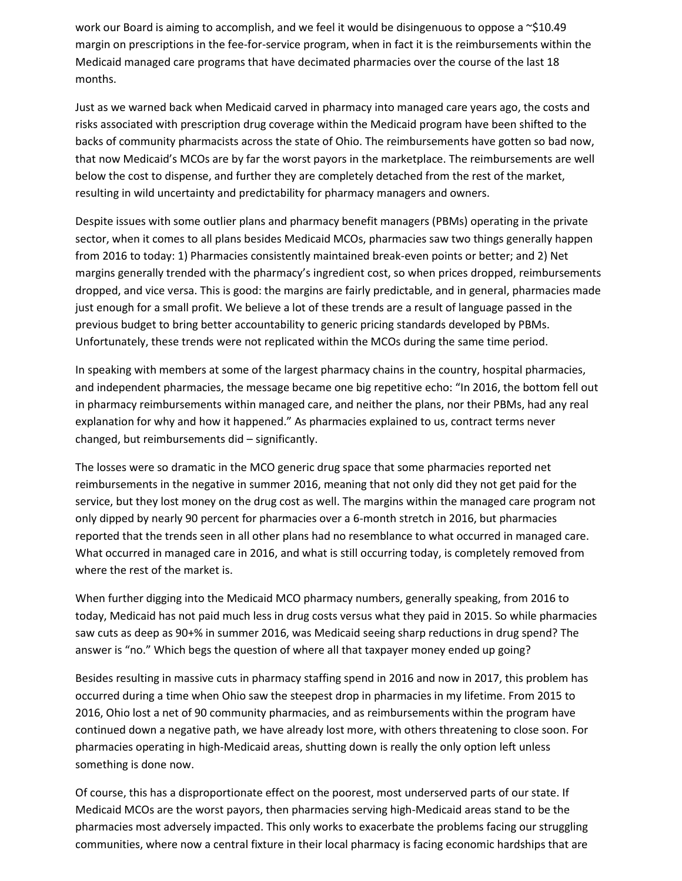work our Board is aiming to accomplish, and we feel it would be disingenuous to oppose a  $\sim$ \$10.49 margin on prescriptions in the fee-for-service program, when in fact it is the reimbursements within the Medicaid managed care programs that have decimated pharmacies over the course of the last 18 months.

Just as we warned back when Medicaid carved in pharmacy into managed care years ago, the costs and risks associated with prescription drug coverage within the Medicaid program have been shifted to the backs of community pharmacists across the state of Ohio. The reimbursements have gotten so bad now, that now Medicaid's MCOs are by far the worst payors in the marketplace. The reimbursements are well below the cost to dispense, and further they are completely detached from the rest of the market, resulting in wild uncertainty and predictability for pharmacy managers and owners.

Despite issues with some outlier plans and pharmacy benefit managers (PBMs) operating in the private sector, when it comes to all plans besides Medicaid MCOs, pharmacies saw two things generally happen from 2016 to today: 1) Pharmacies consistently maintained break-even points or better; and 2) Net margins generally trended with the pharmacy's ingredient cost, so when prices dropped, reimbursements dropped, and vice versa. This is good: the margins are fairly predictable, and in general, pharmacies made just enough for a small profit. We believe a lot of these trends are a result of language passed in the previous budget to bring better accountability to generic pricing standards developed by PBMs. Unfortunately, these trends were not replicated within the MCOs during the same time period.

In speaking with members at some of the largest pharmacy chains in the country, hospital pharmacies, and independent pharmacies, the message became one big repetitive echo: "In 2016, the bottom fell out in pharmacy reimbursements within managed care, and neither the plans, nor their PBMs, had any real explanation for why and how it happened." As pharmacies explained to us, contract terms never changed, but reimbursements did – significantly.

The losses were so dramatic in the MCO generic drug space that some pharmacies reported net reimbursements in the negative in summer 2016, meaning that not only did they not get paid for the service, but they lost money on the drug cost as well. The margins within the managed care program not only dipped by nearly 90 percent for pharmacies over a 6-month stretch in 2016, but pharmacies reported that the trends seen in all other plans had no resemblance to what occurred in managed care. What occurred in managed care in 2016, and what is still occurring today, is completely removed from where the rest of the market is.

When further digging into the Medicaid MCO pharmacy numbers, generally speaking, from 2016 to today, Medicaid has not paid much less in drug costs versus what they paid in 2015. So while pharmacies saw cuts as deep as 90+% in summer 2016, was Medicaid seeing sharp reductions in drug spend? The answer is "no." Which begs the question of where all that taxpayer money ended up going?

Besides resulting in massive cuts in pharmacy staffing spend in 2016 and now in 2017, this problem has occurred during a time when Ohio saw the steepest drop in pharmacies in my lifetime. From 2015 to 2016, Ohio lost a net of 90 community pharmacies, and as reimbursements within the program have continued down a negative path, we have already lost more, with others threatening to close soon. For pharmacies operating in high-Medicaid areas, shutting down is really the only option left unless something is done now.

Of course, this has a disproportionate effect on the poorest, most underserved parts of our state. If Medicaid MCOs are the worst payors, then pharmacies serving high-Medicaid areas stand to be the pharmacies most adversely impacted. This only works to exacerbate the problems facing our struggling communities, where now a central fixture in their local pharmacy is facing economic hardships that are